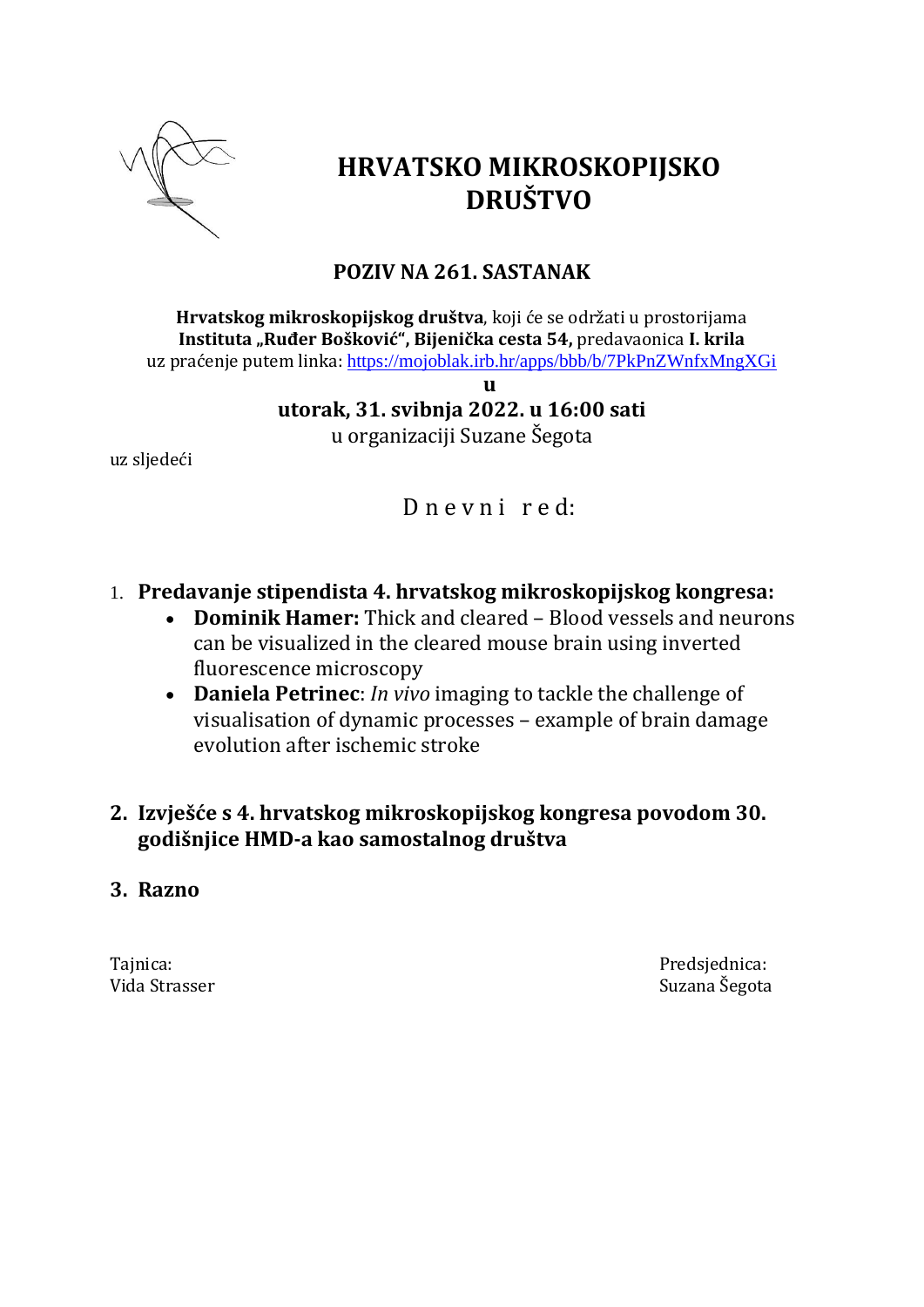

# **HRVATSKO MIKROSKOPIJSKO DRUŠTVO**

# **POZIV NA 261. SASTANAK**

**Hrvatskog mikroskopijskog društva**, koji će se održati u prostorijama **Instituta "Ruđer Bošković", Bijenička cesta 54,** predavaonica **I. krila** uz praćenje putem linka: <https://mojoblak.irb.hr/apps/bbb/b/7PkPnZWnfxMngXGi>

**u**

**utorak, 31. svibnja 2022. u 16:00 sati** u organizaciji Suzane Šegota

uz sljedeći

# D n e v n i r e d:

- 1. **Predavanje stipendista 4. hrvatskog mikroskopijskog kongresa:**
	- **Dominik Hamer:** Thick and cleared Blood vessels and neurons can be visualized in the cleared mouse brain using inverted fluorescence microscopy
	- **Daniela Petrinec**: *In vivo* imaging to tackle the challenge of visualisation of dynamic processes – example of brain damage evolution after ischemic stroke
- **2. Izvješće s 4. hrvatskog mikroskopijskog kongresa povodom 30. godišnjice HMD-a kao samostalnog društva**
- **3. Razno**

Tajnica: Predsjednica: Vida Strasser Suzana Šegota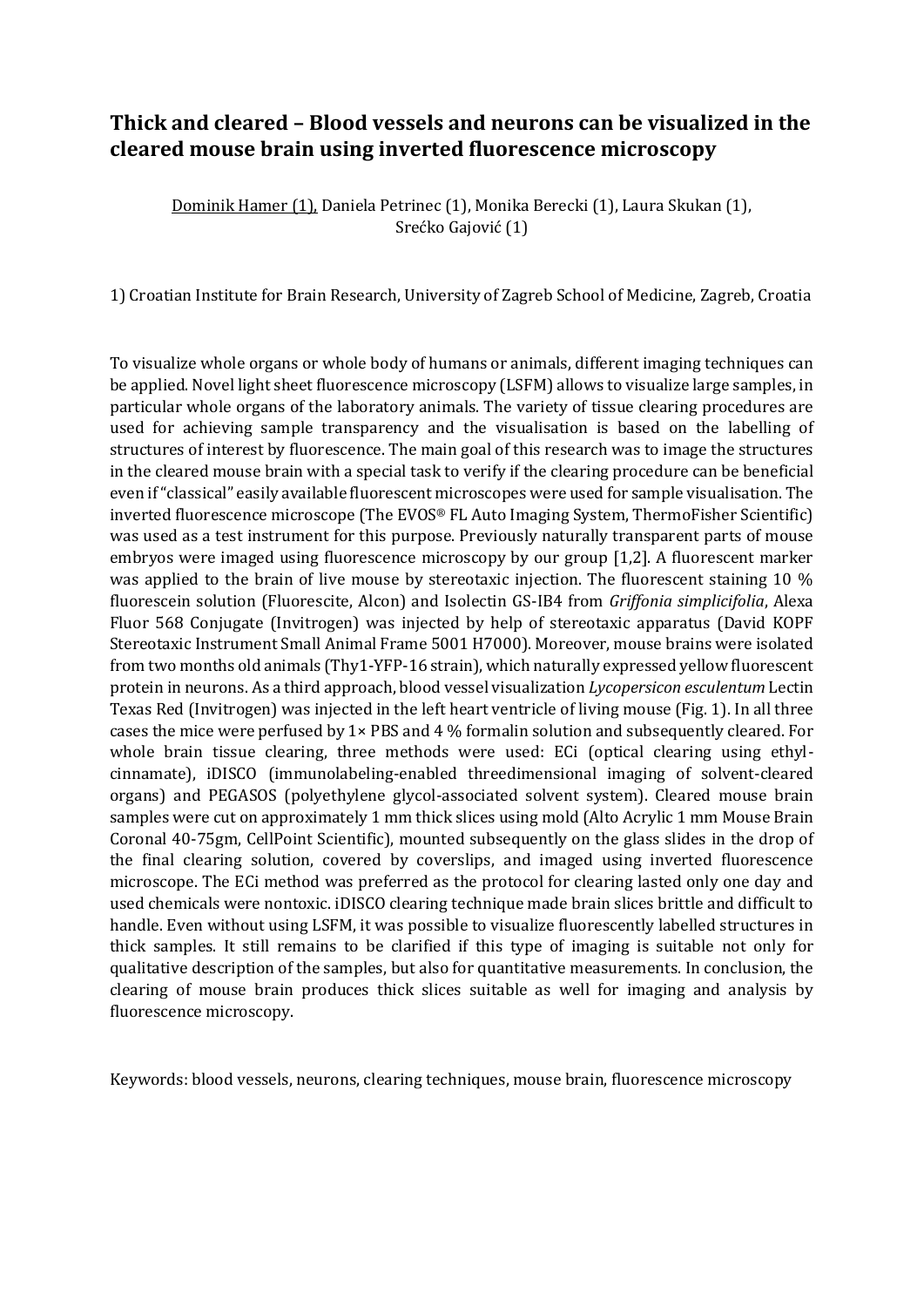#### **Thick and cleared – Blood vessels and neurons can be visualized in the cleared mouse brain using inverted fluorescence microscopy**

Dominik Hamer (1), Daniela Petrinec (1), Monika Berecki (1), Laura Skukan (1), Srećko Gajović (1)

1) Croatian Institute for Brain Research, University of Zagreb School of Medicine, Zagreb, Croatia

To visualize whole organs or whole body of humans or animals, different imaging techniques can be applied. Novel light sheet fluorescence microscopy (LSFM) allows to visualize large samples, in particular whole organs of the laboratory animals. The variety of tissue clearing procedures are used for achieving sample transparency and the visualisation is based on the labelling of structures of interest by fluorescence. The main goal of this research was to image the structures in the cleared mouse brain with a special task to verify if the clearing procedure can be beneficial even if "classical" easily available fluorescent microscopes were used for sample visualisation. The inverted fluorescence microscope (The EVOS® FL Auto Imaging System, ThermoFisher Scientific) was used as a test instrument for this purpose. Previously naturally transparent parts of mouse embryos were imaged using fluorescence microscopy by our group [1,2]. A fluorescent marker was applied to the brain of live mouse by stereotaxic injection. The fluorescent staining 10 % fluorescein solution (Fluorescite, Alcon) and Isolectin GS-IB4 from *Griffonia simplicifolia*, Alexa Fluor 568 Conjugate (Invitrogen) was injected by help of stereotaxic apparatus (David KOPF Stereotaxic Instrument Small Animal Frame 5001 H7000). Moreover, mouse brains were isolated from two months old animals (Thy1-YFP-16 strain), which naturally expressed yellow fluorescent protein in neurons. As a third approach, blood vessel visualization *Lycopersicon esculentum* Lectin Texas Red (Invitrogen) was injected in the left heart ventricle of living mouse (Fig. 1). In all three cases the mice were perfused by  $1 \times PBS$  and  $4\%$  formalin solution and subsequently cleared. For whole brain tissue clearing, three methods were used: ECi (optical clearing using ethylcinnamate), iDISCO (immunolabeling-enabled threedimensional imaging of solvent-cleared organs) and PEGASOS (polyethylene glycol-associated solvent system). Cleared mouse brain samples were cut on approximately 1 mm thick slices using mold (Alto Acrylic 1 mm Mouse Brain Coronal 40-75gm, CellPoint Scientific), mounted subsequently on the glass slides in the drop of the final clearing solution, covered by coverslips, and imaged using inverted fluorescence microscope. The ECi method was preferred as the protocol for clearing lasted only one day and used chemicals were nontoxic. iDISCO clearing technique made brain slices brittle and difficult to handle. Even without using LSFM, it was possible to visualize fluorescently labelled structures in thick samples. It still remains to be clarified if this type of imaging is suitable not only for qualitative description of the samples, but also for quantitative measurements. In conclusion, the clearing of mouse brain produces thick slices suitable as well for imaging and analysis by fluorescence microscopy.

Keywords: blood vessels, neurons, clearing techniques, mouse brain, fluorescence microscopy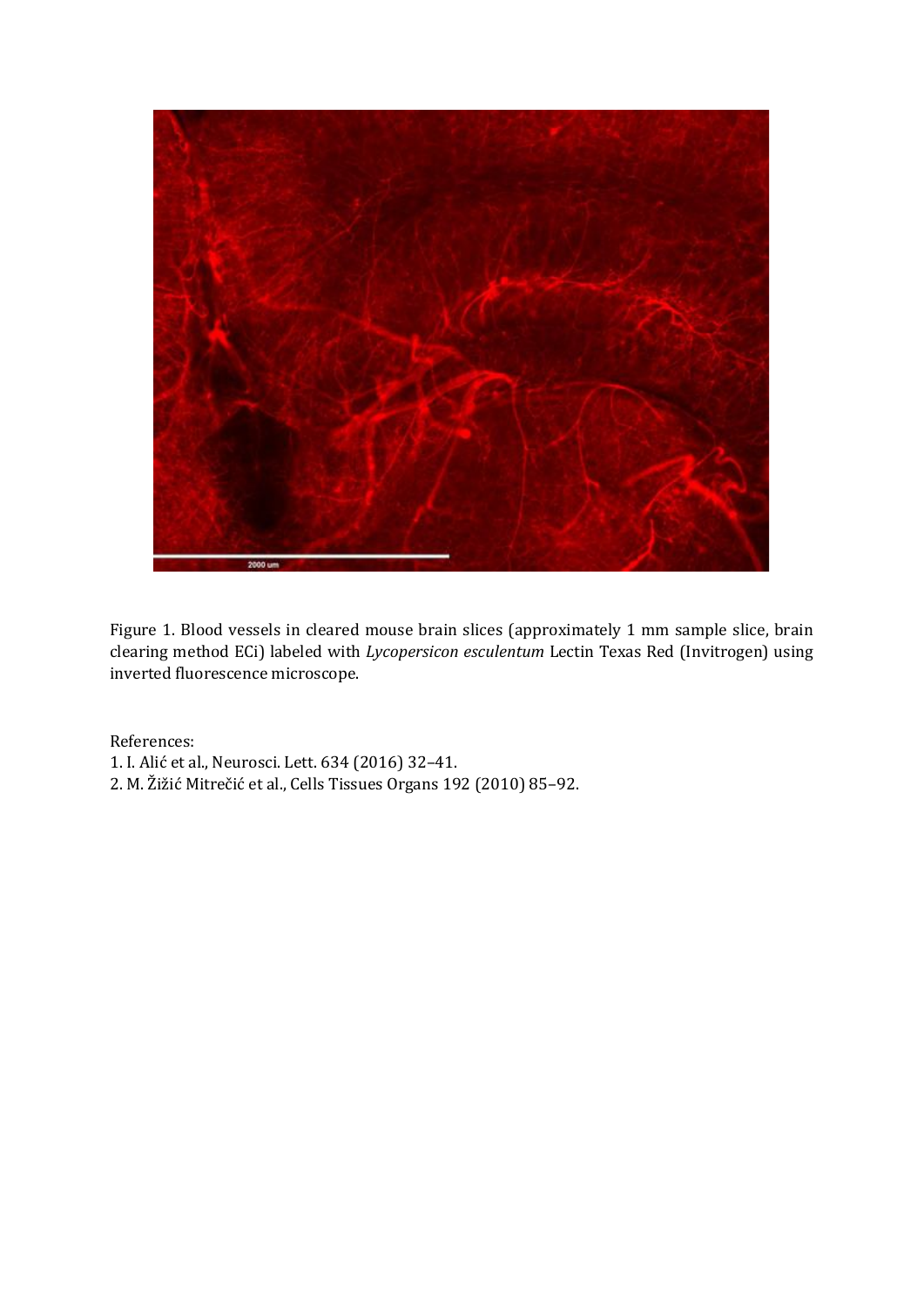

Figure 1. Blood vessels in cleared mouse brain slices (approximately 1 mm sample slice, brain clearing method ECi) labeled with *Lycopersicon esculentum* Lectin Texas Red (Invitrogen) using inverted fluorescence microscope.

References:

- 1. I. Alić et al., Neurosci. Lett. 634 (2016) 32–41.
- 2. M. Žižić Mitrečić et al., Cells Tissues Organs 192 (2010) 85–92.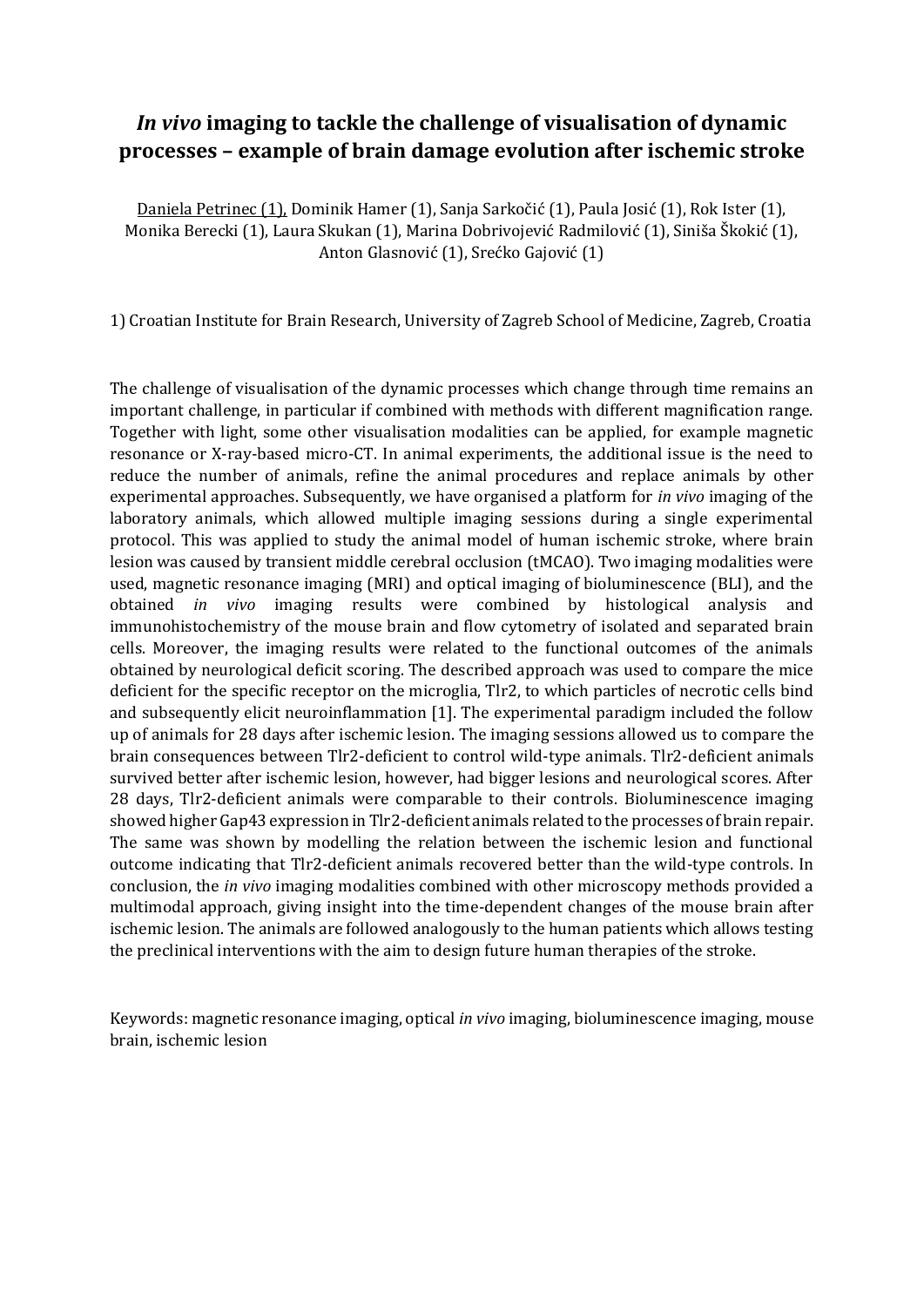### *In vivo* **imaging to tackle the challenge of visualisation of dynamic processes – example of brain damage evolution after ischemic stroke**

Daniela Petrinec (1), Dominik Hamer (1), Sanja Sarkočić (1), Paula Josić (1), Rok Ister (1), Monika Berecki (1), Laura Skukan (1), Marina Dobrivojević Radmilović (1), Siniša Škokić (1), Anton Glasnović (1), Srećko Gajović (1)

1) Croatian Institute for Brain Research, University of Zagreb School of Medicine, Zagreb, Croatia

The challenge of visualisation of the dynamic processes which change through time remains an important challenge, in particular if combined with methods with different magnification range. Together with light, some other visualisation modalities can be applied, for example magnetic resonance or X-ray-based micro-CT. In animal experiments, the additional issue is the need to reduce the number of animals, refine the animal procedures and replace animals by other experimental approaches. Subsequently, we have organised a platform for *in vivo* imaging of the laboratory animals, which allowed multiple imaging sessions during a single experimental protocol. This was applied to study the animal model of human ischemic stroke, where brain lesion was caused by transient middle cerebral occlusion (tMCAO). Two imaging modalities were used, magnetic resonance imaging (MRI) and optical imaging of bioluminescence (BLI), and the obtained *in vivo* imaging results were combined by histological analysis and immunohistochemistry of the mouse brain and flow cytometry of isolated and separated brain cells. Moreover, the imaging results were related to the functional outcomes of the animals obtained by neurological deficit scoring. The described approach was used to compare the mice deficient for the specific receptor on the microglia, Tlr2, to which particles of necrotic cells bind and subsequently elicit neuroinflammation [1]. The experimental paradigm included the follow up of animals for 28 days after ischemic lesion. The imaging sessions allowed us to compare the brain consequences between Tlr2-deficient to control wild-type animals. Tlr2-deficient animals survived better after ischemic lesion, however, had bigger lesions and neurological scores. After 28 days, Tlr2-deficient animals were comparable to their controls. Bioluminescence imaging showed higher Gap43 expression in Tlr2-deficient animals related to the processes of brain repair. The same was shown by modelling the relation between the ischemic lesion and functional outcome indicating that Tlr2-deficient animals recovered better than the wild-type controls. In conclusion, the *in vivo* imaging modalities combined with other microscopy methods provided a multimodal approach, giving insight into the time-dependent changes of the mouse brain after ischemic lesion. The animals are followed analogously to the human patients which allows testing the preclinical interventions with the aim to design future human therapies of the stroke.

Keywords: magnetic resonance imaging, optical *in vivo* imaging, bioluminescence imaging, mouse brain, ischemic lesion